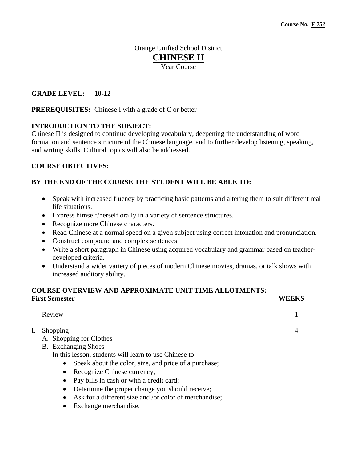# Orange Unified School District **CHINESE II**

Year Course

# **GRADE LEVEL: 10-12**

**PREREQUISITES:** Chinese I with a grade of C or better

# **INTRODUCTION TO THE SUBJECT:**

Chinese II is designed to continue developing vocabulary, deepening the understanding of word formation and sentence structure of the Chinese language, and to further develop listening, speaking, and writing skills. Cultural topics will also be addressed.

### **COURSE OBJECTIVES:**

# **BY THE END OF THE COURSE THE STUDENT WILL BE ABLE TO:**

- Speak with increased fluency by practicing basic patterns and altering them to suit different real life situations.
- Express himself/herself orally in a variety of sentence structures.
- Recognize more Chinese characters.
- Read Chinese at a normal speed on a given subject using correct intonation and pronunciation.
- Construct compound and complex sentences.
- Write a short paragraph in Chinese using acquired vocabulary and grammar based on teacherdeveloped criteria.
- Understand a wider variety of pieces of modern Chinese movies, dramas, or talk shows with increased auditory ability.

# **COURSE OVERVIEW AND APPROXIMATE UNIT TIME ALLOTMENTS: First Semester WEEKS**

| Review                                                |  |
|-------------------------------------------------------|--|
| Shopping                                              |  |
| A. Shopping for Clothes                               |  |
| <b>B.</b> Exchanging Shoes                            |  |
| In this lesson, students will learn to use Chinese to |  |
| Speak about the color, size, and price of a purchase; |  |
| Recognize Chinese currency;                           |  |
| Pay bills in cash or with a credit card;<br>$\bullet$ |  |
| Determine the proper change you should receive;       |  |

- Ask for a different size and /or color of merchandise;
- Exchange merchandise.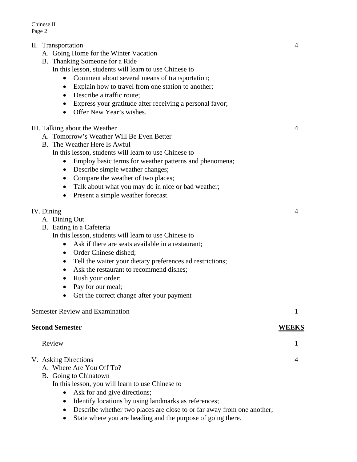Chinese II Page 2

- II. Transportation 4
	- A. Going Home for the Winter Vacation
	- B. Thanking Someone for a Ride In this lesson, students will learn to use Chinese to
		- Comment about several means of transportation;
		- Explain how to travel from one station to another;
		- Describe a traffic route;
		- Express your gratitude after receiving a personal favor;
		- Offer New Year's wishes.
- III. Talking about the Weather 4
	- A. Tomorrow's Weather Will Be Even Better
	- B. The Weather Here Is Awful
		- In this lesson, students will learn to use Chinese to
			- Employ basic terms for weather patterns and phenomena;
			- Describe simple weather changes;
			- Compare the weather of two places;
			- Talk about what you may do in nice or bad weather;
			- Present a simple weather forecast.

### IV. Dining 4

 A. Dining Out B. Eating in a Cafeteria

In this lesson, students will learn to use Chinese to

- Ask if there are seats available in a restaurant;
- Order Chinese dished;
- Tell the waiter your dietary preferences ad restrictions;
- Ask the restaurant to recommend dishes;
- Rush your order;
- Pay for our meal;
- Get the correct change after your payment

### Semester Review and Examination 1

### **Second Semester WEEKS**

### Review 1

# V. Asking Directions 4

- A. Where Are You Off To?
- B. Going to Chinatown
	- In this lesson, you will learn to use Chinese to
		- Ask for and give directions;
		- Identify locations by using landmarks as references;
		- Describe whether two places are close to or far away from one another;
		- State where you are heading and the purpose of going there.

- -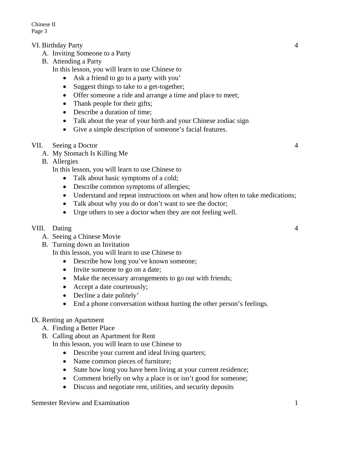Chinese II Page 3

# VI. Birthday Party 4

- A. Inviting Someone to a Party
- B. Attending a Party

In this lesson, you will learn to use Chinese to

- Ask a friend to go to a party with you'
- Suggest things to take to a get-together;
- Offer someone a ride and arrange a time and place to meet;
- Thank people for their gifts;
- Describe a duration of time;
- Talk about the year of your birth and your Chinese zodiac sign
- Give a simple description of someone's facial features.

# VII. Seeing a Doctor 4

- A. My Stomach Is Killing Me
- B. Allergies

In this lesson, you will learn to use Chinese to

- Talk about basic symptoms of a cold;
- Describe common symptoms of allergies;
- Understand and repeat instructions on when and how often to take medications;
- Talk about why you do or don't want to see the doctor;
- Urge others to see a doctor when they are not feeling well.

### VIII. Dating 4

- A. Seeing a Chinese Movie
- B. Turning down an Invitation

In this lesson, you will learn to use Chinese to

- Describe how long you've known someone;
- Invite someone to go on a date;
- Make the necessary arrangements to go out with friends;
- Accept a date courteously;
- Decline a date politely'
- End a phone conversation without hurting the other person's feelings.

### IX. Renting an Apartment

- A. Finding a Better Place
- B. Calling about an Apartment for Rent

In this lesson, you will learn to use Chinese to

- Describe your current and ideal living quarters;
- Name common pieces of furniture;
- State how long you have been living at your current residence;
- Comment briefly on why a place is or isn't good for someone;
- Discuss and negotiate rent, utilities, and security deposits

Semester Review and Examination 1